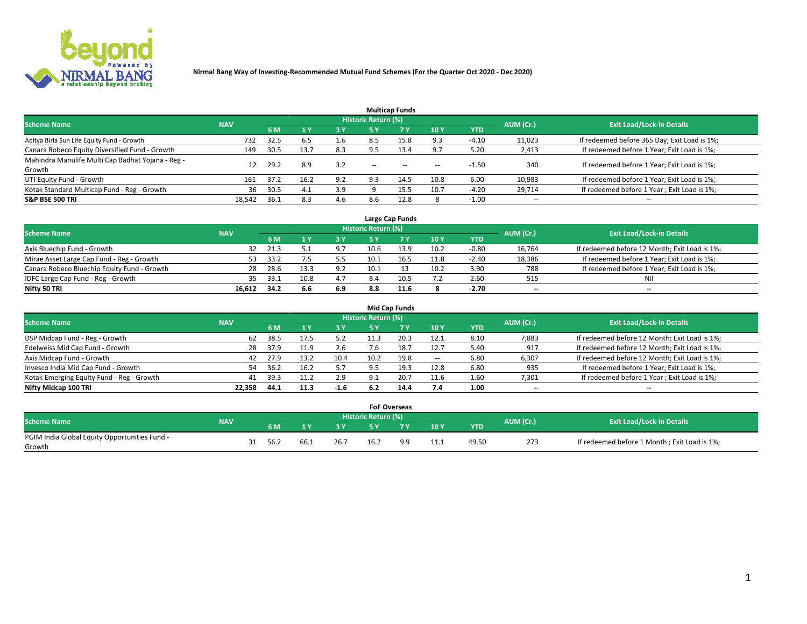

|                                                   |            |      |      |           |                            | <b>Multicap Funds</b> |        |         |                          |                                              |
|---------------------------------------------------|------------|------|------|-----------|----------------------------|-----------------------|--------|---------|--------------------------|----------------------------------------------|
| <b>Scheme Name</b>                                | <b>NAV</b> |      |      |           | <b>Historic Return (%)</b> |                       |        |         | AUM (Cr.)                | <b>Exit Load/Lock-in Details</b>             |
|                                                   |            | 6 M  | 1 Y  | <b>3Y</b> | <b>5 Y</b>                 | 7Y                    | 10Y    | YTD     |                          |                                              |
| Aditya Birla Sun Life Equity Fund - Growth        | 732        | 32.5 | 6.5  | 1.6       | 8.5                        | 15.8                  | 9.3    | $-4.10$ | 11,023                   | If redeemed before 365 Day; Exit Load is 1%; |
| Canara Robeco Equity Diversified Fund - Growth    | 149        | 30.5 | 13.7 | 8.3       |                            | 13.4                  | 9.7    | 5.20    | 2,413                    | If redeemed before 1 Year; Exit Load is 1%;  |
| Mahindra Manulife Multi Cap Badhat Yojana - Reg - | 12         | 29.2 | 8.9  | 3.2       | $-$                        | $\sim$                | $\sim$ | $-1.50$ | 340                      | If redeemed before 1 Year; Exit Load is 1%;  |
| Growth                                            |            |      |      |           |                            |                       |        |         |                          |                                              |
| UTI Equity Fund - Growth                          | 161        | 37.2 | 16.2 | 9.2       | 9.3                        | 14.5                  | 10.8   | 6.00    | 10,983                   | If redeemed before 1 Year; Exit Load is 1%;  |
| Kotak Standard Multicap Fund - Reg - Growth       | 36         | 30.5 | 4.1  | 3.9       |                            | 15.5                  | 10.7   | $-4.20$ | 29,714                   | If redeemed before 1 Year; Exit Load is 1%;  |
| <b>S&amp;P BSE 500 TRI</b>                        | 18.542     | 36.1 | 8.3  | 4.6       | 8.6                        | 12.8                  |        | $-1.00$ | $\overline{\phantom{a}}$ | $\overline{\phantom{a}}$                     |

| Large Cap Funds                             |            |      |     |     |                     |      |      |            |           |                                               |  |  |
|---------------------------------------------|------------|------|-----|-----|---------------------|------|------|------------|-----------|-----------------------------------------------|--|--|
| <b>Scheme Name</b>                          | <b>NAV</b> |      |     |     | Historic Return (%) |      |      |            | AUM (Cr.) | <b>Exit Load/Lock-in Details</b>              |  |  |
|                                             |            | 6 M  |     | 3 Y | 5 ٧                 |      | 10Y  | <b>YTD</b> |           |                                               |  |  |
| Axis Bluechip Fund - Growth                 | 32         | 21.3 |     | 9.7 | 10.6                | 13.9 | 10.2 | $-0.80$    | 16,764    | If redeemed before 12 Month; Exit Load is 1%; |  |  |
| Mirae Asset Large Cap Fund - Reg - Growth   | 53         | 33.2 |     | 5.5 | 10.1                |      | 11.8 | $-2.40$    | 18,386    | If redeemed before 1 Year; Exit Load is 1%;   |  |  |
| Canara Robeco Bluechip Equity Fund - Growth | 28         | 28.6 |     | 9.2 | 10.1                |      | 10.2 | 3.90       | 788       | If redeemed before 1 Year; Exit Load is 1%;   |  |  |
| IDFC Large Cap Fund - Reg - Growth          | 35         | 33.1 |     | 4.7 | 8.4                 |      | 7.2  | 2.60       | 515       | Nil                                           |  |  |
| Nifty 50 TRI                                | 16.612     | 34.2 | 6.6 | 6.9 | 8.8                 | 11.6 |      | -2.70      | $- -$     | $- -$                                         |  |  |

|                                           |            |      |      |        |                     | <b>Mid Cap Funds</b> |                          |            |           |                                               |
|-------------------------------------------|------------|------|------|--------|---------------------|----------------------|--------------------------|------------|-----------|-----------------------------------------------|
| <b>Scheme Name</b>                        | <b>NAV</b> |      |      |        | Historic Return (%) |                      |                          |            | AUM (Cr.) | <b>Exit Load/Lock-in Details</b>              |
|                                           |            | 6 M  |      | 73 Y   | 5 ۷                 |                      | <b>10Y</b>               | <b>YTD</b> |           |                                               |
| DSP Midcap Fund - Reg - Growth            | 62         | 38.5 |      |        |                     |                      | 12.1                     | 8.10       | 7,883     | If redeemed before 12 Month; Exit Load is 1%; |
| Edelweiss Mid Cap Fund - Growth           | 28         | 37.9 | 11.9 | 2.6    |                     | 18.7                 | 12.7                     | 5.40       | 917       | If redeemed before 12 Month; Exit Load is 1%; |
| Axis Midcap Fund - Growth                 | 42         | 27.9 | 13.7 | 10.4   | 10.2                | 19.8                 | $\overline{\phantom{a}}$ | 6.80       | 6,307     | If redeemed before 12 Month; Exit Load is 1%; |
| Invesco India Mid Cap Fund - Growth       | 54         | 36.2 |      |        | 9.5                 |                      | 12.8                     | 6.80       | 935       | If redeemed before 1 Year; Exit Load is 1%;   |
| Kotak Emerging Equity Fund - Reg - Growth | 41         | 39.3 |      | 2.9    | د.9                 | 20.                  | 11.6                     | 1.60       | 7,301     | If redeemed before 1 Year; Exit Load is 1%;   |
| Nifty Midcap 100 TRI                      | 22.358     | 44.1 | 11.3 | $-1.6$ | 6.2                 | 14.4                 | 7.4                      | 1.00       | $- -$     | $\overline{\phantom{a}}$                      |

|                                               |            |      |      |      | <b>FoF Overseas</b> |                |      |            |           |                                              |
|-----------------------------------------------|------------|------|------|------|---------------------|----------------|------|------------|-----------|----------------------------------------------|
| <b>Scheme Name</b>                            | <b>NAV</b> |      |      |      | Historic Return (%) |                |      |            | AUM (Cr.) | <b>Exit Load/Lock-in Details</b>             |
|                                               |            | 6 M  |      |      | <b>EV</b>           | 7 <sub>2</sub> | 10Y  | <b>YTD</b> |           |                                              |
| PGIM India Global Equity Opportunities Fund - |            | 56.2 | 66.1 |      |                     | a a            |      |            |           |                                              |
| Growth                                        |            |      |      | 26.7 | 16.2                |                | 11.1 | 49.50      | 273       | If redeemed before 1 Month; Exit Load is 1%; |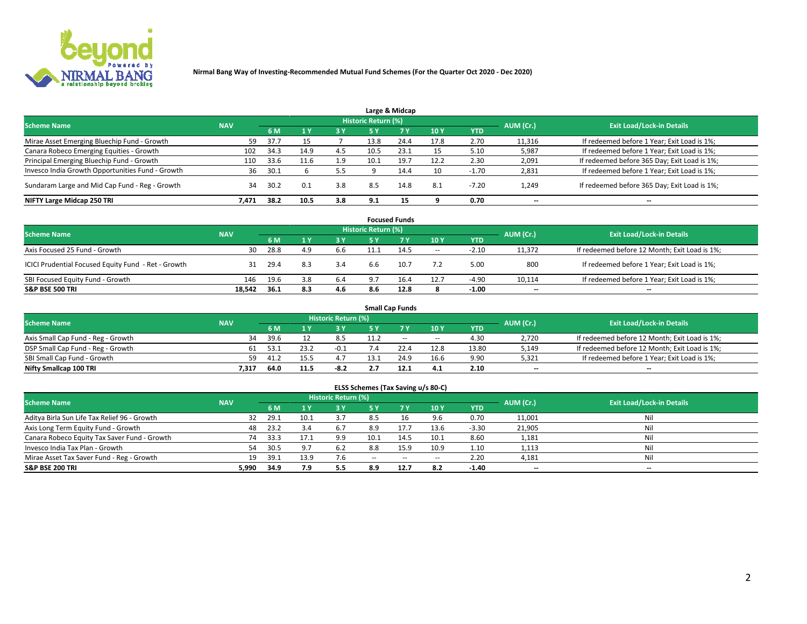

|                                                  |            |      |      |     |                     | Large & Midcap |      |            |                          |                                              |
|--------------------------------------------------|------------|------|------|-----|---------------------|----------------|------|------------|--------------------------|----------------------------------------------|
| <b>Scheme Name</b>                               | <b>NAV</b> |      |      |     | Historic Return (%) |                |      |            | AUM (Cr.)                | <b>Exit Load/Lock-in Details</b>             |
|                                                  |            | 6 M  |      | 3 Y | <b>5 Y</b>          | 7Y             | 10Y  | <b>YTD</b> |                          |                                              |
| Mirae Asset Emerging Bluechip Fund - Growth      | 59         | 37.7 | 15   |     | 13.8                | 24.4           | 17.8 | 2.70       | 11,316                   | If redeemed before 1 Year; Exit Load is 1%;  |
| Canara Robeco Emerging Equities - Growth         | 102        | 34.3 | 14.9 | 4.5 | 10.5                | 23.1           | 15   | 5.10       | 5,987                    | If redeemed before 1 Year; Exit Load is 1%;  |
| Principal Emerging Bluechip Fund - Growth        | 110        | 33.6 | 11.6 | 1.9 | 10.1                | 19.7           | 12.2 | 2.30       | 2,091                    | If redeemed before 365 Day; Exit Load is 1%; |
| Invesco India Growth Opportunities Fund - Growth | 36         | 30.1 |      |     |                     | 14.4           | 10   | $-1.70$    | 2,831                    | If redeemed before 1 Year; Exit Load is 1%;  |
| Sundaram Large and Mid Cap Fund - Reg - Growth   | 34         | 30.2 | 0.1  | 3.8 | 8.5                 | 14.8           | 8.1  | $-7.20$    | 1,249                    | If redeemed before 365 Day; Exit Load is 1%; |
| NIFTY Large Midcap 250 TRI                       | 7.471      | 38.2 | 10.5 | 3.8 | 9.1                 |                |      | 0.70       | $\overline{\phantom{a}}$ | --                                           |

|                                                     |            |      |     |       |                            | <b>Focused Funds</b> |       |            |                          |                                               |
|-----------------------------------------------------|------------|------|-----|-------|----------------------------|----------------------|-------|------------|--------------------------|-----------------------------------------------|
| <b>Scheme Name</b>                                  | <b>NAV</b> |      |     |       | <b>Historic Return (%)</b> |                      |       |            | AUM (Cr.)                | <b>Exit Load/Lock-in Details</b>              |
|                                                     |            | 6 M  |     | 73 Y. | 5 Y                        | <b>7Y</b>            | 10 Y  | <b>YTD</b> |                          |                                               |
| Axis Focused 25 Fund - Growth                       | 30         | 28.8 | 4.9 | 6.6   | 11.1                       | 14.5                 | $\!-$ | $-2.10$    | 11.372                   | If redeemed before 12 Month; Exit Load is 1%; |
| ICICI Prudential Focused Equity Fund - Ret - Growth | -31        | 29.4 | 8.3 | 3.4   | 6.6                        | 10.7                 | 7.2   | 5.00       | 800                      | If redeemed before 1 Year; Exit Load is 1%;   |
| SBI Focused Equity Fund - Growth                    | 146        | 19.6 | 3.8 | 6.4   | 9.7                        | 16.4                 | 12.7  | $-4.90$    | 10,114                   | If redeemed before 1 Year; Exit Load is 1%;   |
| <b>S&amp;P BSE 500 TRI</b>                          | 18.542     | 36.1 | 8.3 | 4.6   | 8.6                        | 12.8                 | 8     | $-1.00$    | $\overline{\phantom{m}}$ | $- -$                                         |

|                                    |            |      |      |                            |     | <b>Small Cap Funds</b> |                          |       |           |                                               |
|------------------------------------|------------|------|------|----------------------------|-----|------------------------|--------------------------|-------|-----------|-----------------------------------------------|
| <b>Scheme Name</b>                 | <b>NAV</b> |      |      | <b>Historic Return (%)</b> |     |                        |                          |       | AUM (Cr.) | <b>Exit Load/Lock-in Details</b>              |
|                                    |            | 6 M  |      | 3 Y                        |     |                        | 10Y                      | YTD   |           |                                               |
| Axis Small Cap Fund - Reg - Growth | 34         | 39.6 |      | 8.5                        |     | $- -$                  | $\overline{\phantom{a}}$ | 4.30  | 2,720     | If redeemed before 12 Month; Exit Load is 1%; |
| DSP Small Cap Fund - Reg - Growth  | 61         | 53.1 | 23.2 | $-0.1$                     |     |                        | 12.8                     | 13.80 | 5,149     | If redeemed before 12 Month; Exit Load is 1%; |
| SBI Small Cap Fund - Growth        | 59         | 41.2 |      |                            | 12. | 24.9                   | 16.6                     | 9.90  | 5,321     | If redeemed before 1 Year; Exit Load is 1%;   |
| Nifty Smallcap 100 TRI             | 7.317      | 64.0 | 11.5 | -8.2                       | 2.7 | 12.1                   | 4.1                      | 2.10  | $- -$     | $\overline{\phantom{a}}$                      |

| <b>Scheme Name</b>                           | <b>NAV</b> |      |      | <b>Historic Return (%)</b> |        |      |                          |            | AUM (Cr.)                | <b>Exit Load/Lock-in Details</b> |
|----------------------------------------------|------------|------|------|----------------------------|--------|------|--------------------------|------------|--------------------------|----------------------------------|
|                                              |            | 6 M  |      | <b>3Y</b>                  | 5 Y    | 7 Y  | 10Y                      | <b>YTD</b> |                          |                                  |
| Aditya Birla Sun Life Tax Relief 96 - Growth | 32         | 29.1 | 10.1 | 3.7                        | 8.5    | 16   | 9.6                      | 0.70       | 11,001                   | Nil                              |
| Axis Long Term Equity Fund - Growth          | 48         | 23.2 | 3.4  | 6.7                        | 8.9    | 17.7 | 13.6                     | $-3.30$    | 21,905                   | Nil                              |
| Canara Robeco Equity Tax Saver Fund - Growth | 74         | 33.3 | 17.1 | 9.9                        | 10.1   | 14.5 | 10.1                     | 8.60       | 1,181                    | Nil                              |
| Invesco India Tax Plan - Growth              | 54         | 30.5 | 9.7  | 6.2                        | 8.8    | 15.9 | 10.9                     | 1.10       | 1,113                    | Nil                              |
| Mirae Asset Tax Saver Fund - Reg - Growth    | 19         | 39.1 | 13.9 | 7.6                        | $\sim$ | $-$  | $\overline{\phantom{a}}$ | 2.20       | 4,181                    | Nil                              |
| S&P BSE 200 TRI                              | 5,990      | 34.9 | 7.9  | 5.5                        | 8.9    | 12.7 | 8.2                      | $-1.40$    | $\hspace{0.05cm} \ldots$ | $\overline{\phantom{a}}$         |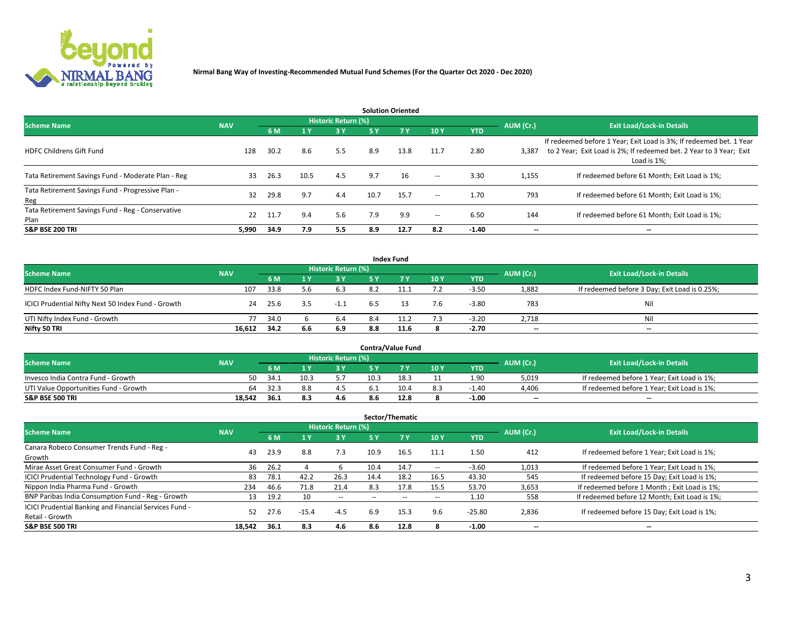

| <b>Solution Oriented</b>                                  |            |      |              |                     |      |            |                          |            |                          |                                                                                                                                                           |  |  |  |
|-----------------------------------------------------------|------------|------|--------------|---------------------|------|------------|--------------------------|------------|--------------------------|-----------------------------------------------------------------------------------------------------------------------------------------------------------|--|--|--|
| <b>Scheme Name</b>                                        | <b>NAV</b> |      |              | Historic Return (%) |      |            |                          |            | AUM (Cr.)                | <b>Exit Load/Lock-in Details</b>                                                                                                                          |  |  |  |
|                                                           |            | 6 M  | $\sqrt{1}$ Y |                     | 5 Y  | <b>7 Y</b> | 10Y                      | <b>YTD</b> |                          |                                                                                                                                                           |  |  |  |
| <b>HDFC Childrens Gift Fund</b>                           | 128        | 30.2 | 8.6          | 5.5                 | 8.9  | 13.8       | 11.7                     | 2.80       | 3,387                    | If redeemed before 1 Year; Exit Load is 3%; If redeemed bet. 1 Year<br>to 2 Year; Exit Load is 2%; If redeemed bet. 2 Year to 3 Year; Exit<br>Load is 1%; |  |  |  |
| Tata Retirement Savings Fund - Moderate Plan - Reg        | 33         | 26.3 | 10.5         | 4.5                 | 9.7  | 16         | $\overline{\phantom{a}}$ | 3.30       | 1,155                    | If redeemed before 61 Month; Exit Load is 1%;                                                                                                             |  |  |  |
| Tata Retirement Savings Fund - Progressive Plan -<br>Reg  | 32         | 29.8 | 9.7          | 4.4                 | 10.7 | 15.7       | $\overline{\phantom{a}}$ | 1.70       | 793                      | If redeemed before 61 Month: Exit Load is 1%:                                                                                                             |  |  |  |
| Tata Retirement Savings Fund - Reg - Conservative<br>Plan | 22         | 11.7 | 9.4          | 5.6                 | 7.9  | 9.9        | $\overline{\phantom{a}}$ | 6.50       | 144                      | If redeemed before 61 Month; Exit Load is 1%;                                                                                                             |  |  |  |
| <b>S&amp;P BSE 200 TRI</b>                                | 5.990      | 34.9 | 7.9          | 5.5                 | 8.9  | 12.7       | 8.2                      | $-1.40$    | $\overline{\phantom{a}}$ | $\overline{\phantom{a}}$                                                                                                                                  |  |  |  |

|                                                    |            |      |     |                     |     | <b>Index Fund</b> |     |            |           |                                               |
|----------------------------------------------------|------------|------|-----|---------------------|-----|-------------------|-----|------------|-----------|-----------------------------------------------|
| <b>Scheme Name</b>                                 | <b>NAV</b> |      |     | Historic Return (%) |     |                   |     |            | AUM (Cr.) | <b>Exit Load/Lock-in Details</b>              |
|                                                    |            | 6 M  |     | <b>3 Y</b>          | 5 Y | <b>7Y</b>         | 10Y | <b>YTD</b> |           |                                               |
| HDFC Index Fund-NIFTY 50 Plan                      | 107        | 33.8 | 5.6 | 6.3                 | 8.2 |                   |     | $-3.50$    | 1,882     | If redeemed before 3 Day; Exit Load is 0.25%; |
| ICICI Prudential Nifty Next 50 Index Fund - Growth | 24         | 25.6 | 3.5 | $-1.1$              | 6.5 |                   | 7.6 | $-3.80$    | 783       | Nil                                           |
| UTI Nifty Index Fund - Growth                      | 77         | 34.0 |     | 6.4                 | 8.4 | 11.2              | 7.3 | $-3.20$    | 2,718     | Ni                                            |
| Nifty 50 TRI                                       | 16,612     | 34.2 | 6.6 | 6.9                 | 8.8 | 11.6              |     | -2.70      | $- -$     | $-$                                           |

| <b>Contra/Value Fund</b>              |            |       |      |                     |      |      |     |            |           |                                             |  |  |
|---------------------------------------|------------|-------|------|---------------------|------|------|-----|------------|-----------|---------------------------------------------|--|--|
| <b>Scheme Name</b>                    | <b>NAV</b> |       |      | Historic Return (%) |      |      |     |            | AUM (Cr.) | <b>Exit Load/Lock-in Details</b>            |  |  |
|                                       |            | 6 M   |      | 3 Y                 |      | 7 V  | 10Y | <b>YTD</b> |           |                                             |  |  |
| Invesco India Contra Fund - Growth    | 50         | -34.1 | 10.3 |                     | 10.3 | 18.3 |     | 1.90       | 5,019     | If redeemed before 1 Year; Exit Load is 1%; |  |  |
| UTI Value Opportunities Fund - Growth | 64         | 32.3  | 8.8  |                     |      | 10.4 | 8.3 | $-1.40$    | 4,406     | If redeemed before 1 Year; Exit Load is 1%; |  |  |
| <b>S&amp;P BSE 500 TRI</b>            | 18.542     | -36.1 | 8.3  | 4.6                 | 8.b  | 12.8 |     | $-1.00$    | $- -$     | $- -$                                       |  |  |

| Sector/Thematic                                        |            |      |         |                     |                          |        |                          |            |                          |                                               |  |  |
|--------------------------------------------------------|------------|------|---------|---------------------|--------------------------|--------|--------------------------|------------|--------------------------|-----------------------------------------------|--|--|
| <b>Scheme Name</b>                                     | <b>NAV</b> |      |         | Historic Return (%) |                          |        |                          |            | AUM (Cr.)                | <b>Exit Load/Lock-in Details</b>              |  |  |
|                                                        |            | 6 M  | 1Y      | 3 Y                 | <b>5Y</b>                | 7 Y    | 10Y                      | <b>YTD</b> |                          |                                               |  |  |
| Canara Robeco Consumer Trends Fund - Reg -             |            | 23.9 | 8.8     |                     |                          |        |                          | 1.50       | 412                      |                                               |  |  |
| Growth                                                 | 43         |      |         | 7.3                 | 10.9                     | 16.5   | 11.1                     |            |                          | If redeemed before 1 Year; Exit Load is 1%;   |  |  |
| Mirae Asset Great Consumer Fund - Growth               | 36         | 26.2 |         |                     | 10.4                     | 14.7   | $\!-$                    | $-3.60$    | 1,013                    | If redeemed before 1 Year; Exit Load is 1%;   |  |  |
| ICICI Prudential Technology Fund - Growth              | 83         | 78.1 | 42.2    | 26.3                | 14.4                     | 18.2   | 16.5                     | 43.30      | 545                      | If redeemed before 15 Day; Exit Load is 1%;   |  |  |
| Nippon India Pharma Fund - Growth                      | 234        | 46.6 | 71.8    | 21.4                | 8.3                      | 17.8   | 15.5                     | 53.70      | 3,653                    | If redeemed before 1 Month; Exit Load is 1%;  |  |  |
| BNP Paribas India Consumption Fund - Reg - Growth      | 13         | 19.2 | 10      | $\sim$              | $\overline{\phantom{a}}$ | $\sim$ | $\overline{\phantom{a}}$ | 1.10       | 558                      | If redeemed before 12 Month; Exit Load is 1%; |  |  |
| ICICI Prudential Banking and Financial Services Fund - | 52         | 27.6 |         |                     | 6.9                      | 15.3   | 9.6                      | $-25.80$   |                          |                                               |  |  |
| Retail - Growth                                        |            |      | $-15.4$ | $-4.5$              |                          |        |                          |            | 2,836                    | If redeemed before 15 Day; Exit Load is 1%;   |  |  |
| <b>S&amp;P BSE 500 TRI</b>                             | 18.542     | 36.1 | 8.3     | 4.6                 | 8.6                      | 12.8   |                          | $-1.00$    | $\overline{\phantom{a}}$ | --                                            |  |  |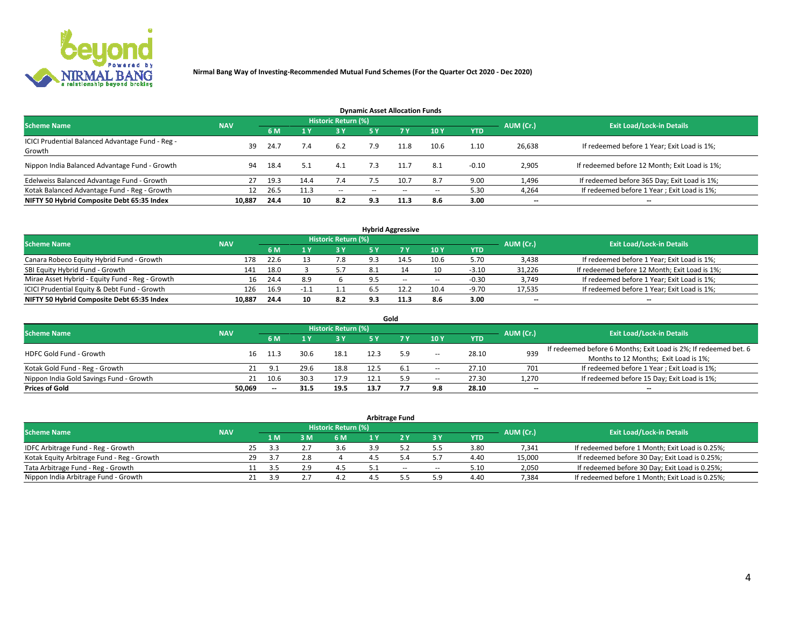

| <b>Dynamic Asset Allocation Funds</b>                      |            |      |      |                     |               |           |       |            |           |                                               |  |  |  |  |
|------------------------------------------------------------|------------|------|------|---------------------|---------------|-----------|-------|------------|-----------|-----------------------------------------------|--|--|--|--|
| <b>Scheme Name</b>                                         | <b>NAV</b> |      |      | Historic Return (%) |               |           |       |            | AUM (Cr.) | <b>Exit Load/Lock-in Details</b>              |  |  |  |  |
|                                                            |            | 6 M  |      | 3 Y                 | <b>5Y</b>     | <b>7Y</b> | 10Y   | <b>YTD</b> |           |                                               |  |  |  |  |
| ICICI Prudential Balanced Advantage Fund - Reg -<br>Growth | 39         | 24.7 | 7.4  | 6.2                 | 7.9           |           | 10.6  | 1.10       | 26,638    | If redeemed before 1 Year; Exit Load is 1%;   |  |  |  |  |
| Nippon India Balanced Advantage Fund - Growth              | 94         | 18.4 | 5.1  | 4.1                 | 7.3           |           | 8.1   | $-0.10$    | 2,905     | If redeemed before 12 Month; Exit Load is 1%; |  |  |  |  |
| Edelweiss Balanced Advantage Fund - Growth                 | 27         | 19.3 | 14.4 | 7.4                 | 7.5           | 10.7      | 8.7   | 9.00       | 1,496     | If redeemed before 365 Day; Exit Load is 1%;  |  |  |  |  |
| Kotak Balanced Advantage Fund - Reg - Growth               | 12         | 26.5 | 11.3 | $\sim$              | $\sim$ $\sim$ | $-$       | $- -$ | 5.30       | 4,264     | If redeemed before 1 Year; Exit Load is 1%;   |  |  |  |  |
| NIFTY 50 Hybrid Composite Debt 65:35 Index                 | 10,887     | 24.4 | 10   | 8.2                 | 9.3           | 11.3      | 8.6   | 3.00       | --        | --                                            |  |  |  |  |

| <b>Hybrid Aggressive</b>                        |            |           |                                  |            |      |        |                          |            |        |                                               |  |  |  |
|-------------------------------------------------|------------|-----------|----------------------------------|------------|------|--------|--------------------------|------------|--------|-----------------------------------------------|--|--|--|
| <b>Scheme Name</b>                              | <b>NAV</b> | AUM (Cr.) | <b>Exit Load/Lock-in Details</b> |            |      |        |                          |            |        |                                               |  |  |  |
|                                                 |            | 6 M       |                                  | <b>3 Y</b> | 5 ٧  |        | 10Y                      | <b>YTD</b> |        |                                               |  |  |  |
| Canara Robeco Equity Hybrid Fund - Growth       | 178        | 22.6      |                                  | 7.8        | 9.3  | 14.5   | 10.6                     | 5.70       | 3,438  | If redeemed before 1 Year; Exit Load is 1%;   |  |  |  |
| SBI Equity Hybrid Fund - Growth                 | 141        | 18.0      |                                  |            | -8.1 |        | 10                       | $-3.10$    | 31,226 | If redeemed before 12 Month; Exit Load is 1%; |  |  |  |
| Mirae Asset Hybrid - Equity Fund - Reg - Growth | 16         | 24.4      | 8.9                              |            |      | $\sim$ | $\overline{\phantom{a}}$ | $-0.30$    | 3,749  | If redeemed before 1 Year; Exit Load is 1%;   |  |  |  |
| ICICI Prudential Equity & Debt Fund - Growth    | 126        | 16.9      | -1.1                             | 1.1        | b.5  |        | 10.4                     | $-9.70$    | 17,535 | If redeemed before 1 Year; Exit Load is 1%;   |  |  |  |
| NIFTY 50 Hybrid Composite Debt 65:35 Index      | 10.887     | 24.4      | 10                               | 8.2        | 9.3  | 11.3   | 8.6                      | 3.00       | $- -$  | $\overline{\phantom{a}}$                      |  |  |  |

|                                         |            |                          |      |                            |      | Gold |       |            |           |                                                                  |
|-----------------------------------------|------------|--------------------------|------|----------------------------|------|------|-------|------------|-----------|------------------------------------------------------------------|
| <b>Scheme Name</b>                      | <b>NAV</b> |                          |      | <b>Historic Return (%)</b> |      |      |       |            | AUM (Cr.) | <b>Exit Load/Lock-in Details</b>                                 |
|                                         |            | 6 M                      |      | 3 Y                        | IS V |      | 10Y   | <b>YTD</b> |           |                                                                  |
| <b>HDFC Gold Fund - Growth</b>          | 16         | 11.3                     | 30.6 | 18.1                       |      | 5.9  |       | 28.10      | 939       | If redeemed before 6 Months; Exit Load is 2%; If redeemed bet. 6 |
|                                         |            |                          |      |                            |      |      | $\!-$ |            |           | Months to 12 Months; Exit Load is 1%;                            |
| Kotak Gold Fund - Reg - Growth          |            | <b>Q</b> 1               | 29.6 | 18.8                       | 12.5 |      | $\!-$ | 27.10      | 701       | If redeemed before 1 Year; Exit Load is 1%;                      |
| Nippon India Gold Savings Fund - Growth | 21         | 10.6                     | 30.3 | 17.9                       |      | 5.9  | $\!-$ | 27.30      | 1,270     | If redeemed before 15 Day; Exit Load is 1%;                      |
| <b>Prices of Gold</b>                   | 50.069     | $\overline{\phantom{a}}$ | 31.5 | 19.5                       | 13.7 |      | 9.8   | 28.10      | --        | $\overline{\phantom{m}}$                                         |

| <b>Arbitrage Fund</b>                      |            |                                  |      |     |     |     |     |     |            |        |                                                 |  |  |
|--------------------------------------------|------------|----------------------------------|------|-----|-----|-----|-----|-----|------------|--------|-------------------------------------------------|--|--|
| <b>Scheme Name</b>                         | AUM (Cr.)  | <b>Exit Load/Lock-in Details</b> |      |     |     |     |     |     |            |        |                                                 |  |  |
|                                            | <b>NAV</b> |                                  | 1 M. | : M | 6 M | 1 Y |     | 3 Y | <b>YTD</b> |        |                                                 |  |  |
| IDFC Arbitrage Fund - Reg - Growth         |            | 25                               | 3.3  |     | 3.6 |     |     |     | 3.80       | 7,341  | If redeemed before 1 Month; Exit Load is 0.25%; |  |  |
| Kotak Equity Arbitrage Fund - Reg - Growth |            | 29                               | -3.7 |     |     |     |     |     | 4.40       | 15,000 | If redeemed before 30 Day; Exit Load is 0.25%;  |  |  |
| Tata Arbitrage Fund - Reg - Growth         |            |                                  | ? ⊏  |     |     |     | $-$ | --  | 5.10       | 2,050  | If redeemed before 30 Day; Exit Load is 0.25%;  |  |  |
| Nippon India Arbitrage Fund - Growth       |            | 21                               | 3.9  |     |     |     |     | 5.9 | 4.40       | 7.384  | If redeemed before 1 Month; Exit Load is 0.25%; |  |  |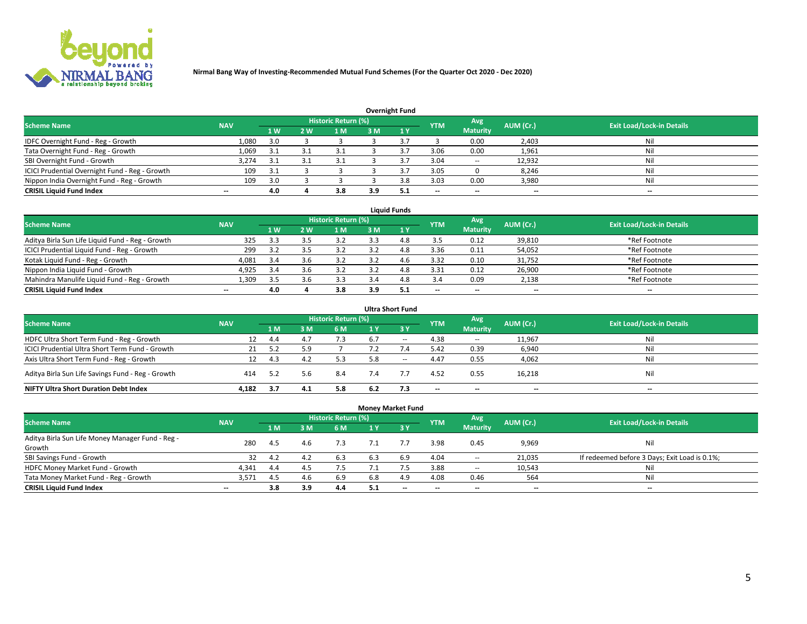

|                                                |                          |      |    |                     |     | <b>Overnight Fund</b> |            |                 |           |                                  |
|------------------------------------------------|--------------------------|------|----|---------------------|-----|-----------------------|------------|-----------------|-----------|----------------------------------|
| <b>Scheme Name</b>                             | <b>NAV</b>               |      |    | Historic Return (%) |     |                       | <b>YTM</b> | Avg             | AUM (Cr.) | <b>Exit Load/Lock-in Details</b> |
|                                                |                          | 1 W  | 2W | 1 M                 | 3 M | $\sim$ 1 $\vee$       |            | <b>Maturity</b> |           |                                  |
| IDFC Overnight Fund - Reg - Growth             | 1,080                    | 3.0  |    |                     |     |                       |            | 0.00            | 2,403     | Nil                              |
| Tata Overnight Fund - Reg - Growth             | 1,069                    | -3.1 |    | 3.1                 |     |                       | 3.06       | 0.00            | 1,961     | Nil                              |
| SBI Overnight Fund - Growth                    | 3,274                    | 3.1  |    |                     |     |                       | 3.04       | $\sim$          | 12,932    | Nil                              |
| ICICI Prudential Overnight Fund - Reg - Growth | 109                      | 3.1  |    |                     |     |                       | 3.05       |                 | 8,246     | Nil                              |
| Nippon India Overnight Fund - Reg - Growth     | 109                      | 3.0  |    |                     |     |                       | 3.03       | 0.00            | 3,980     | Nil                              |
| <b>CRISIL Liquid Fund Index</b>                | $\overline{\phantom{a}}$ | 4.0  |    | 3.8                 | 3.9 | -5.1                  | $-$        | $- -$           | $- -$     | $-$                              |

| <b>Liquid Funds</b>                              |                          |     |     |                            |     |              |                          |                          |                          |                                  |  |  |  |  |
|--------------------------------------------------|--------------------------|-----|-----|----------------------------|-----|--------------|--------------------------|--------------------------|--------------------------|----------------------------------|--|--|--|--|
| <b>Scheme Name</b>                               | <b>NAV</b>               |     |     | <b>Historic Return (%)</b> |     |              | <b>YTM</b>               | Avg                      | AUM (Cr.)                | <b>Exit Load/Lock-in Details</b> |  |  |  |  |
|                                                  |                          | 4W  | 2 W | l M                        | 3 M | $\sqrt{1}$ Y |                          | <b>Maturity</b>          |                          |                                  |  |  |  |  |
| Aditya Birla Sun Life Liquid Fund - Reg - Growth | 325                      | 3.3 | ≺   | 3.2                        |     | 4.8          | 3.5                      | 0.12                     | 39,810                   | *Ref Footnote                    |  |  |  |  |
| ICICI Prudential Liquid Fund - Reg - Growth      | 299                      | 3.2 | 3.5 | 3.2                        |     | 4.8          | 3.36                     | 0.11                     | 54,052                   | *Ref Footnote                    |  |  |  |  |
| Kotak Liquid Fund - Reg - Growth                 | 4,081                    | 3.4 | 3.6 |                            |     | 4.6          | 3.32                     | 0.10                     | 31,752                   | *Ref Footnote                    |  |  |  |  |
| Nippon India Liquid Fund - Growth                | 4,925                    | 3.4 |     |                            |     | 4.8          | 3.31                     | 0.12                     | 26,900                   | *Ref Footnote                    |  |  |  |  |
| Mahindra Manulife Liquid Fund - Reg - Growth     | 1.309                    | 3.5 | 3.6 | 3.3                        | 3.4 | 4.8          | 3.4                      | 0.09                     | 2,138                    | *Ref Footnote                    |  |  |  |  |
| <b>CRISIL Liquid Fund Index</b>                  | $\overline{\phantom{a}}$ | 4.0 |     | 3.8                        | 3.9 | 5.1          | $\overline{\phantom{a}}$ | $\overline{\phantom{a}}$ | $\overline{\phantom{a}}$ | $-$                              |  |  |  |  |

|                                                   |            |     |      |                            |     | <b>Ultra Short Fund</b>       |            |                          |           |                                  |
|---------------------------------------------------|------------|-----|------|----------------------------|-----|-------------------------------|------------|--------------------------|-----------|----------------------------------|
| <b>Scheme Name</b>                                | <b>NAV</b> |     |      | <b>Historic Return (%)</b> |     |                               | <b>YTM</b> | Avg                      | AUM (Cr.) | <b>Exit Load/Lock-in Details</b> |
|                                                   |            | 1 M | 3 M  | 6 M                        | 1 Y | $\overline{3}$ $\overline{Y}$ |            | <b>Maturity</b>          |           |                                  |
| HDFC Ultra Short Term Fund - Reg - Growth         | 12         | 4.4 | 4.7  | 7.3                        | 6.7 | $\sim$                        | 4.38       | $\sim$                   | 11,967    | Nil                              |
| ICICI Prudential Ultra Short Term Fund - Growth   | 21         | 5.2 |      |                            |     |                               | 5.42       | 0.39                     | 6,940     | Nil                              |
| Axis Ultra Short Term Fund - Reg - Growth         |            | 4.3 | 4.2  | 5.3                        | 5.8 | $- -$                         | 4.47       | 0.55                     | 4,062     | Nil                              |
| Aditya Birla Sun Life Savings Fund - Reg - Growth | 414        | 5.2 | .5.b | 8.4                        | 7.4 |                               | 4.52       | 0.55                     | 16,218    | Nil                              |
| <b>NIFTY Ultra Short Duration Debt Index</b>      | 4.182      | 3.7 | 4.1  | 5.8                        | 6.2 | 7.3                           | --         | $\overline{\phantom{a}}$ | --        | $\overline{\phantom{a}}$         |

|                                                  |            |     |     |                     | <b>Money Market Fund</b> |           |                          |                 |           |                                               |
|--------------------------------------------------|------------|-----|-----|---------------------|--------------------------|-----------|--------------------------|-----------------|-----------|-----------------------------------------------|
| <b>Scheme Name</b>                               | <b>NAV</b> |     |     | Historic Return (%) |                          |           | <b>YTM</b>               | Avg             | AUM (Cr.) | <b>Exit Load/Lock-in Details</b>              |
|                                                  |            | 1 M | 3 M | 6 M                 | 1 Y                      | <b>3Y</b> |                          | <b>Maturity</b> |           |                                               |
| Aditya Birla Sun Life Money Manager Fund - Reg - | 280        | 4.5 | 4.6 | 7.3                 |                          |           | 3.98                     | 0.45            | 9,969     | Nil                                           |
| Growth                                           |            |     |     |                     |                          |           |                          |                 |           |                                               |
| SBI Savings Fund - Growth                        | 32         | 4.2 | 4.2 | 6.3                 | 6.3                      | 6.9       | 4.04                     | $\sim$          | 21,035    | If redeemed before 3 Days; Exit Load is 0.1%; |
| HDFC Money Market Fund - Growth                  | 4,341      | 4.4 | 4.5 | 7.5                 |                          |           | 3.88                     | $\sim$          | 10,543    | Nil                                           |
| Tata Money Market Fund - Reg - Growth            | 3,571      | 4.5 | 4.6 | 6.9                 | 6.8                      | 4.9       | 4.08                     | 0.46            | 564       | Nil                                           |
| <b>CRISIL Liquid Fund Index</b>                  | $- -$      | 3.8 | 3.9 | 4.4                 | 5.1                      | $-$       | $\overline{\phantom{a}}$ | $-$             | $- -$     | $-$                                           |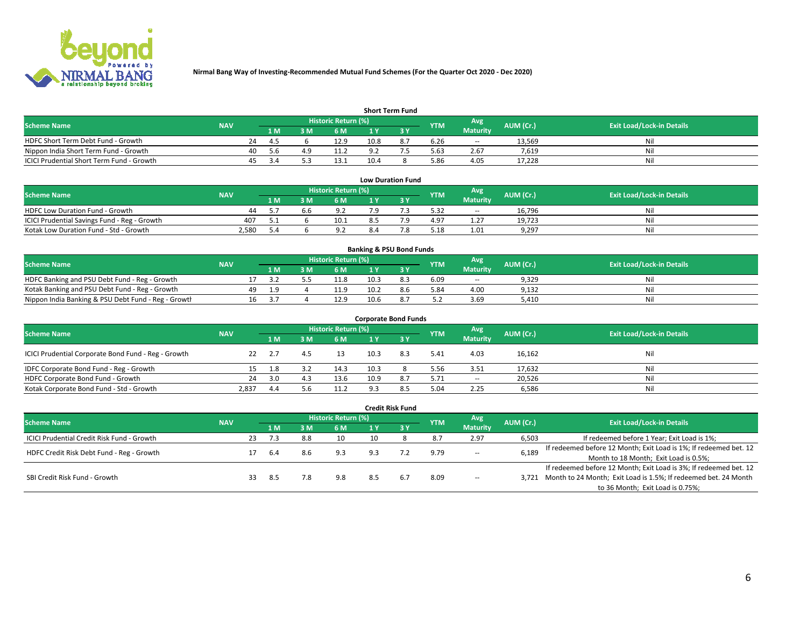

| <b>Short Term Fund</b>                    |            |     |      |     |                            |      |  |            |                 |           |                                  |  |  |  |
|-------------------------------------------|------------|-----|------|-----|----------------------------|------|--|------------|-----------------|-----------|----------------------------------|--|--|--|
| <b>Scheme Name</b>                        | <b>NAV</b> |     |      |     | <b>Historic Return (%)</b> |      |  | <b>YTM</b> | Avg             | AUM (Cr.) | <b>Exit Load/Lock-in Details</b> |  |  |  |
|                                           |            |     | 1 M  | 3 M | 6 M                        | 1 V  |  |            | <b>Maturity</b> |           |                                  |  |  |  |
| HDFC Short Term Debt Fund - Growth        |            | 24  | 4.5  |     | 12.9                       | 10.8 |  | 6.26       | $\sim$          | 13.569    | Nil                              |  |  |  |
| Nippon India Short Term Fund - Growth     |            | 40  | .5.b |     | 11.2                       |      |  | 5.63       | 2.67            | 7.619     | Nil                              |  |  |  |
| ICICI Prudential Short Term Fund - Growth |            | 45. | ≺ ⊿  |     | 13.1                       | 10.4 |  | 5.86       | 4.05            | 17.228    | Nil                              |  |  |  |

| <b>Low Duration Fund</b>                     |            |     |  |                                  |     |  |            |                 |           |                                  |  |  |  |
|----------------------------------------------|------------|-----|--|----------------------------------|-----|--|------------|-----------------|-----------|----------------------------------|--|--|--|
| <b>Scheme Name</b>                           | <b>NAV</b> |     |  | Historic Return (%) <sup> </sup> |     |  | <b>YTM</b> | Avg             | AUM (Cr.) | <b>Exit Load/Lock-in Details</b> |  |  |  |
|                                              |            | 1 M |  | 6 M                              |     |  |            | <b>Maturity</b> |           |                                  |  |  |  |
| HDFC Low Duration Fund - Growth              | 44         |     |  | د ۵                              | ہ 7 |  | 5.32       | $\sim$          | 16.796    | Nil                              |  |  |  |
| ICICI Prudential Savings Fund - Reg - Growth | 407        |     |  | 10.1                             |     |  | 4.97       | 1.27            | 19,723    | Nil                              |  |  |  |
| Kotak Low Duration Fund - Std - Growth       | 2,580      |     |  | 9.2                              | 8.4 |  | 5.18       | 1.01            | 9,297     | Nil                              |  |  |  |

| <b>Banking &amp; PSU Bond Funds</b>                 |            |    |     |  |                     |      |     |            |                 |           |                                  |  |  |  |
|-----------------------------------------------------|------------|----|-----|--|---------------------|------|-----|------------|-----------------|-----------|----------------------------------|--|--|--|
| <b>Scheme Name</b>                                  | <b>NAV</b> |    |     |  | Historic Return (%) |      |     | <b>YTM</b> | Avg             | AUM (Cr.) | <b>Exit Load/Lock-in Details</b> |  |  |  |
|                                                     |            |    | 1 M |  | 6 M                 |      |     |            | <b>Maturity</b> |           |                                  |  |  |  |
| HDFC Banking and PSU Debt Fund - Reg - Growth       |            |    |     |  | 11.8                | 10.3 |     | 6.09       | $\sim$          | 9,329     | Nil                              |  |  |  |
| Kotak Banking and PSU Debt Fund - Reg - Growth      |            | 49 |     |  | 11.9                | 10.2 | 8.6 | 5.84       | 4.00            | 9,132     | Nil                              |  |  |  |
| Nippon India Banking & PSU Debt Fund - Reg - Growth |            | 16 |     |  | 12.9                | 10.6 |     | 5.2        | 3.69            | 5.410     | Nil                              |  |  |  |

| <b>Corporate Bond Funds</b>                         |            |      |     |                     |      |     |            |                 |           |                                  |  |
|-----------------------------------------------------|------------|------|-----|---------------------|------|-----|------------|-----------------|-----------|----------------------------------|--|
| <b>Scheme Name</b>                                  | <b>NAV</b> |      |     | Historic Return (%) |      |     | <b>YTM</b> | Avg             | AUM (Cr.) | <b>Exit Load/Lock-in Details</b> |  |
|                                                     |            | 1 M  | l M | 6 M                 | 1 Y  |     |            | <b>Maturity</b> |           |                                  |  |
| ICICI Prudential Corporate Bond Fund - Reg - Growth | 22         | -2.7 | 4.5 | 13                  | 10.3 | 8.3 | 5.41       | 4.03            | 16,162    | Nil                              |  |
| IDFC Corporate Bond Fund - Reg - Growth             |            | 1.8  |     | 14.3                | 10.3 |     | 5.56       | 3.51            | 17,632    | Nil                              |  |
| HDFC Corporate Bond Fund - Growth                   | 24         | 3.0  | 4.3 | 13.6                | 10.9 | 8.7 | 5.71       | $\sim$          | 20,526    | Nil                              |  |
| Kotak Corporate Bond Fund - Std - Growth            | 2.837      | 4.4  |     | 11.2                | ο    | 8.5 | 5.04       | 2.25            | 6,586     | Nil                              |  |

| <b>Credit Risk Fund</b>                    |            |                     |     |     |     |     |     |            |                 |           |                                                                       |
|--------------------------------------------|------------|---------------------|-----|-----|-----|-----|-----|------------|-----------------|-----------|-----------------------------------------------------------------------|
| <b>Scheme Name</b>                         | <b>NAV</b> | Historic Return (%) |     |     |     |     |     | <b>YTM</b> | Avg             | AUM (Cr.) | <b>Exit Load/Lock-in Details</b>                                      |
|                                            |            |                     | 1 M | 3 M | 6 M |     | 3V  |            | <b>Maturity</b> |           |                                                                       |
| ICICI Prudential Credit Risk Fund - Growth |            | 23                  | 7.3 | 8.8 | 10  | 10  |     | 8.7        | 2.97            | 6,503     | If redeemed before 1 Year; Exit Load is 1%;                           |
| HDFC Credit Risk Debt Fund - Reg - Growth  |            |                     | 6.4 | 8.6 | 9.3 | 9.3 |     | 9.79       | $\!-$           | 6,189     | If redeemed before 12 Month; Exit Load is 1%; If redeemed bet. 12     |
|                                            |            |                     |     |     |     |     |     |            |                 |           | Month to 18 Month; Exit Load is 0.5%;                                 |
| SBI Credit Risk Fund - Growth              |            |                     |     |     |     |     |     |            |                 |           | If redeemed before 12 Month; Exit Load is 3%; If redeemed bet. 12     |
|                                            |            | 33                  | 8.5 | 7.8 | 9.8 | 8.5 | 6.7 | 8.09       | $\!-$           |           | 3,721 Month to 24 Month; Exit Load is 1.5%; If redeemed bet. 24 Month |
|                                            |            |                     |     |     |     |     |     |            |                 |           | to 36 Month; Exit Load is 0.75%;                                      |